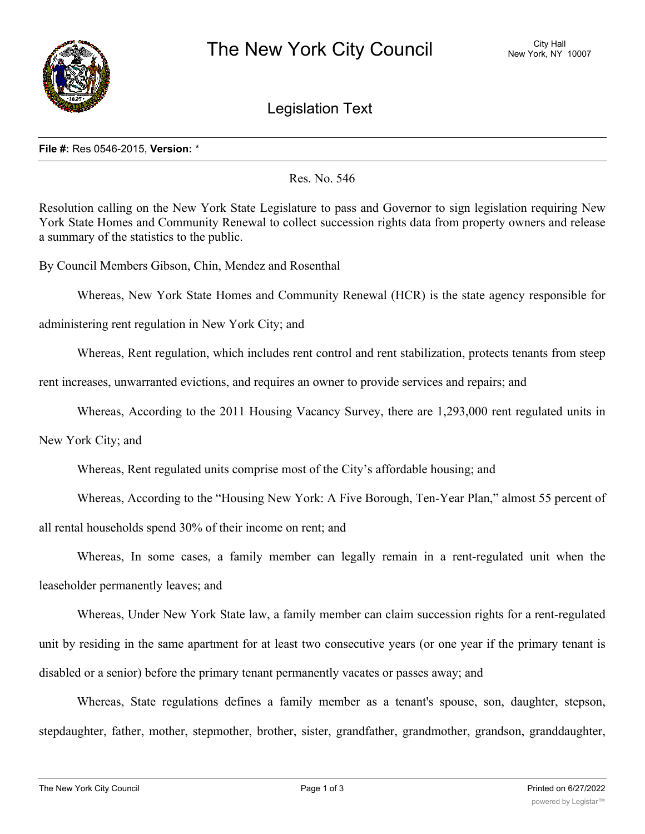

Legislation Text

## **File #:** Res 0546-2015, **Version:** \*

## Res. No. 546

Resolution calling on the New York State Legislature to pass and Governor to sign legislation requiring New York State Homes and Community Renewal to collect succession rights data from property owners and release a summary of the statistics to the public.

By Council Members Gibson, Chin, Mendez and Rosenthal

Whereas, New York State Homes and Community Renewal (HCR) is the state agency responsible for

administering rent regulation in New York City; and

Whereas, Rent regulation, which includes rent control and rent stabilization, protects tenants from steep

rent increases, unwarranted evictions, and requires an owner to provide services and repairs; and

Whereas, According to the 2011 Housing Vacancy Survey, there are 1,293,000 rent regulated units in

New York City; and

Whereas, Rent regulated units comprise most of the City's affordable housing; and

Whereas, According to the "Housing New York: A Five Borough, Ten-Year Plan," almost 55 percent of

all rental households spend 30% of their income on rent; and

Whereas, In some cases, a family member can legally remain in a rent-regulated unit when the leaseholder permanently leaves; and

Whereas, Under New York State law, a family member can claim succession rights for a rent-regulated unit by residing in the same apartment for at least two consecutive years (or one year if the primary tenant is disabled or a senior) before the primary tenant permanently vacates or passes away; and

Whereas, State regulations defines a family member as a tenant's spouse, son, daughter, stepson, stepdaughter, father, mother, stepmother, brother, sister, grandfather, grandmother, grandson, granddaughter,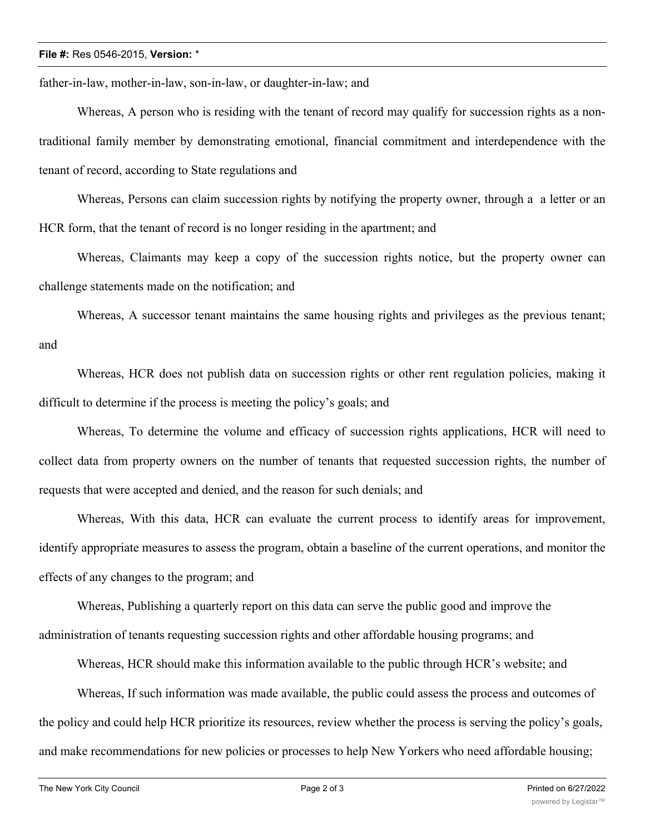## **File #:** Res 0546-2015, **Version:** \*

father-in-law, mother-in-law, son-in-law, or daughter-in-law; and

Whereas, A person who is residing with the tenant of record may qualify for succession rights as a nontraditional family member by demonstrating emotional, financial commitment and interdependence with the tenant of record, according to State regulations and

Whereas, Persons can claim succession rights by notifying the property owner, through a a letter or an HCR form, that the tenant of record is no longer residing in the apartment; and

Whereas, Claimants may keep a copy of the succession rights notice, but the property owner can challenge statements made on the notification; and

Whereas, A successor tenant maintains the same housing rights and privileges as the previous tenant; and

Whereas, HCR does not publish data on succession rights or other rent regulation policies, making it difficult to determine if the process is meeting the policy's goals; and

Whereas, To determine the volume and efficacy of succession rights applications, HCR will need to collect data from property owners on the number of tenants that requested succession rights, the number of requests that were accepted and denied, and the reason for such denials; and

Whereas, With this data, HCR can evaluate the current process to identify areas for improvement, identify appropriate measures to assess the program, obtain a baseline of the current operations, and monitor the effects of any changes to the program; and

Whereas, Publishing a quarterly report on this data can serve the public good and improve the administration of tenants requesting succession rights and other affordable housing programs; and

Whereas, HCR should make this information available to the public through HCR's website; and

Whereas, If such information was made available, the public could assess the process and outcomes of the policy and could help HCR prioritize its resources, review whether the process is serving the policy's goals, and make recommendations for new policies or processes to help New Yorkers who need affordable housing;